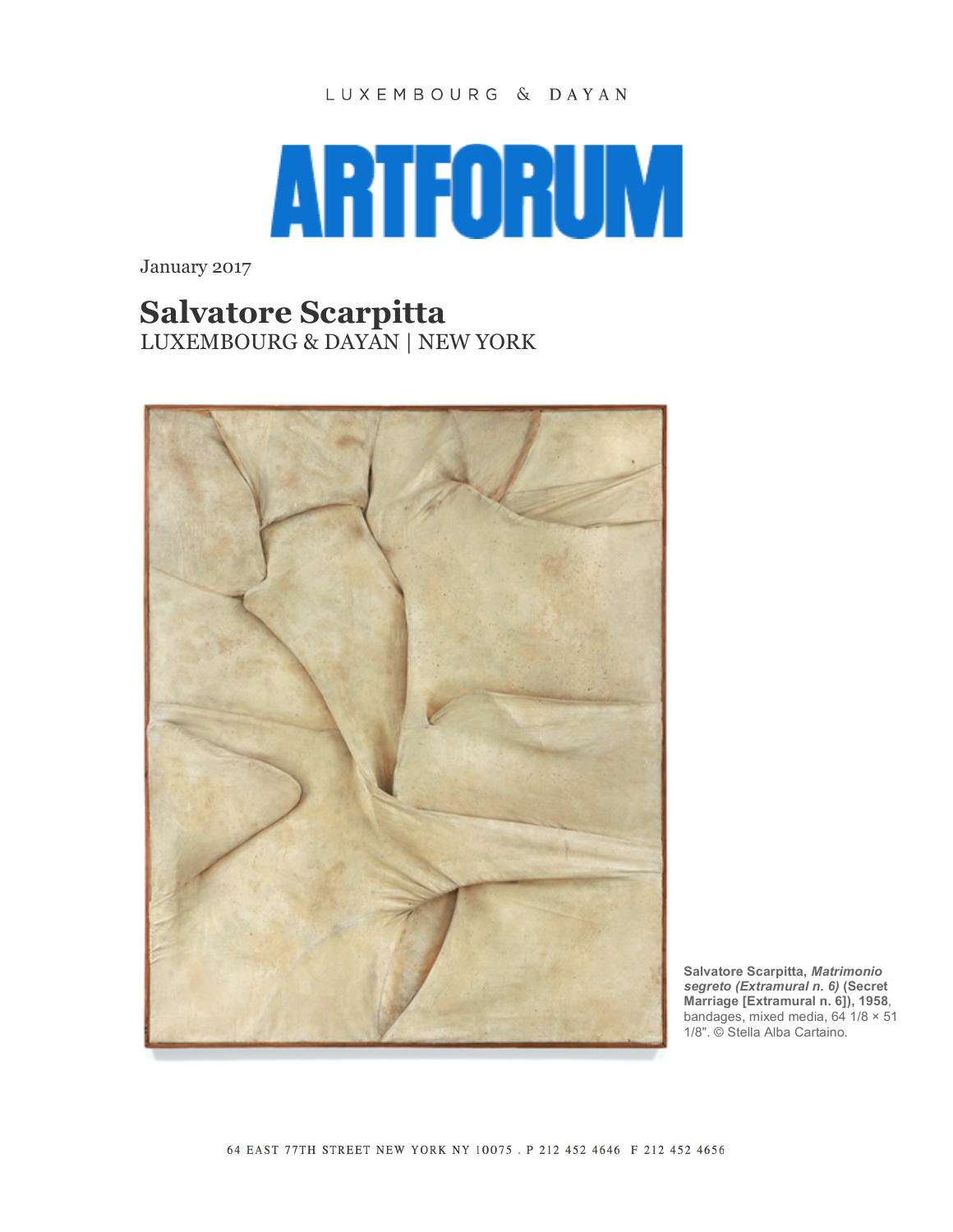## LUXEMBOURG & DAYAN



January 2017

## **Salvatore Scarpitta**

LUXEMBOURG & DAYAN | NEW YORK



**Salvatore Scarpitta,** *Matrimonio segreto (Extramural n. 6)* **(Secret Marriage [Extramural n. 6]), 1958**, bandages, mixed media,  $64 \overline{1}/8 \times 51$ 1/8". © Stella Alba Cartaino.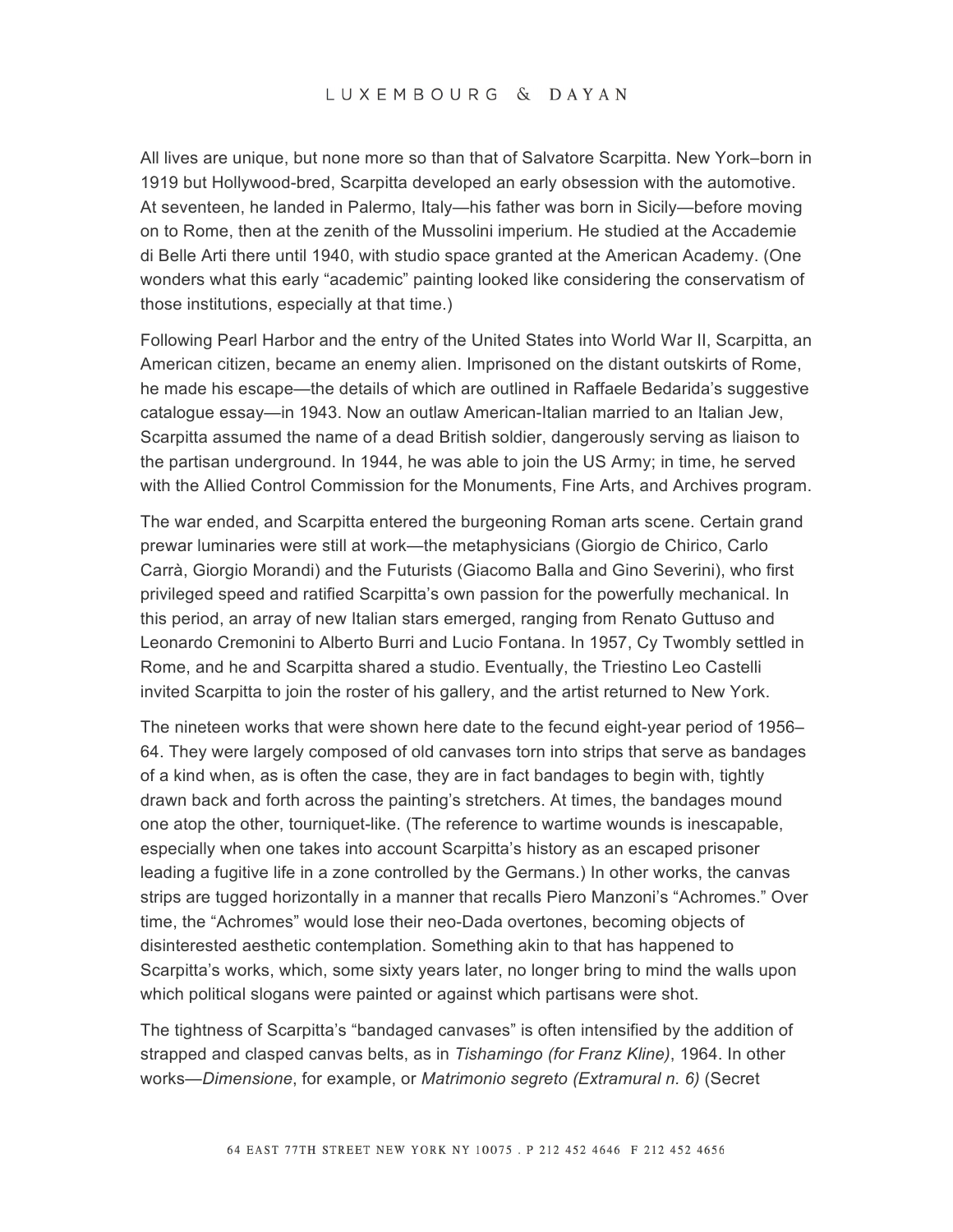All lives are unique, but none more so than that of Salvatore Scarpitta. New York–born in 1919 but Hollywood-bred, Scarpitta developed an early obsession with the automotive. At seventeen, he landed in Palermo, Italy—his father was born in Sicily—before moving on to Rome, then at the zenith of the Mussolini imperium. He studied at the Accademie di Belle Arti there until 1940, with studio space granted at the American Academy. (One wonders what this early "academic" painting looked like considering the conservatism of those institutions, especially at that time.)

Following Pearl Harbor and the entry of the United States into World War II, Scarpitta, an American citizen, became an enemy alien. Imprisoned on the distant outskirts of Rome, he made his escape—the details of which are outlined in Raffaele Bedarida's suggestive catalogue essay—in 1943. Now an outlaw American-Italian married to an Italian Jew, Scarpitta assumed the name of a dead British soldier, dangerously serving as liaison to the partisan underground. In 1944, he was able to join the US Army; in time, he served with the Allied Control Commission for the Monuments, Fine Arts, and Archives program.

The war ended, and Scarpitta entered the burgeoning Roman arts scene. Certain grand prewar luminaries were still at work—the metaphysicians (Giorgio de Chirico, Carlo Carrà, Giorgio Morandi) and the Futurists (Giacomo Balla and Gino Severini), who first privileged speed and ratified Scarpitta's own passion for the powerfully mechanical. In this period, an array of new Italian stars emerged, ranging from Renato Guttuso and Leonardo Cremonini to Alberto Burri and Lucio Fontana. In 1957, Cy Twombly settled in Rome, and he and Scarpitta shared a studio. Eventually, the Triestino Leo Castelli invited Scarpitta to join the roster of his gallery, and the artist returned to New York.

The nineteen works that were shown here date to the fecund eight-year period of 1956– 64. They were largely composed of old canvases torn into strips that serve as bandages of a kind when, as is often the case, they are in fact bandages to begin with, tightly drawn back and forth across the painting's stretchers. At times, the bandages mound one atop the other, tourniquet-like. (The reference to wartime wounds is inescapable, especially when one takes into account Scarpitta's history as an escaped prisoner leading a fugitive life in a zone controlled by the Germans.) In other works, the canvas strips are tugged horizontally in a manner that recalls Piero Manzoni's "Achromes." Over time, the "Achromes" would lose their neo-Dada overtones, becoming objects of disinterested aesthetic contemplation. Something akin to that has happened to Scarpitta's works, which, some sixty years later, no longer bring to mind the walls upon which political slogans were painted or against which partisans were shot.

The tightness of Scarpitta's "bandaged canvases" is often intensified by the addition of strapped and clasped canvas belts, as in *Tishamingo (for Franz Kline)*, 1964. In other works—*Dimensione*, for example, or *Matrimonio segreto (Extramural n. 6)* (Secret